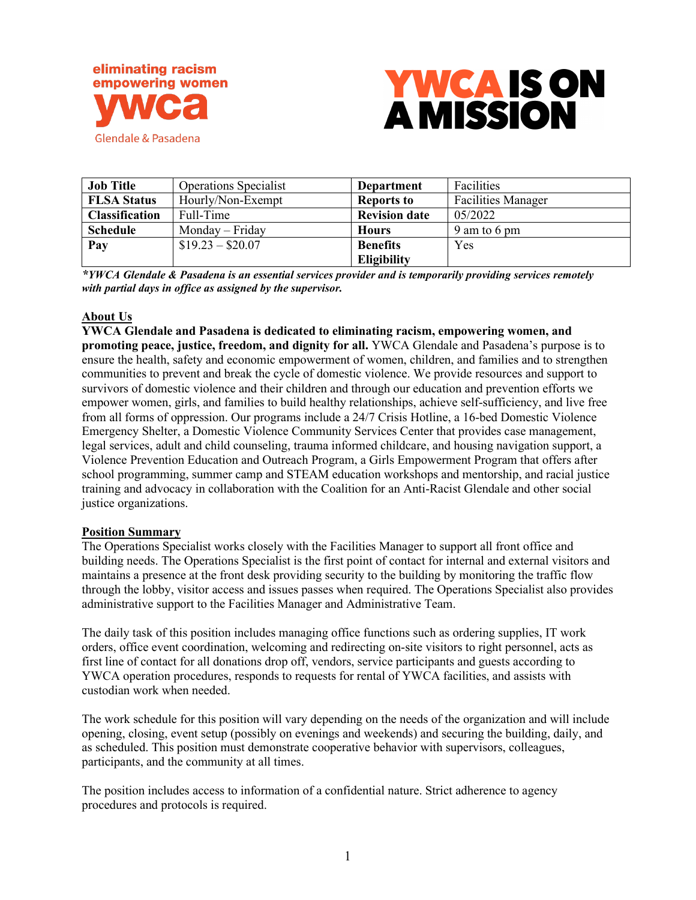



| <b>Job Title</b>      | <b>Operations Specialist</b> | Department           | Facilities                |
|-----------------------|------------------------------|----------------------|---------------------------|
| <b>FLSA Status</b>    | Hourly/Non-Exempt            | <b>Reports to</b>    | <b>Facilities Manager</b> |
| <b>Classification</b> | Full-Time                    | <b>Revision date</b> | 05/2022                   |
| <b>Schedule</b>       | Monday – Friday              | <b>Hours</b>         | 9 am to 6 pm              |
| Pay                   | $$19.23 - $20.07$            | <b>Benefits</b>      | Yes                       |
|                       |                              | Eligibility          |                           |

*\*YWCA Glendale & Pasadena is an essential services provider and is temporarily providing services remotely with partial days in office as assigned by the supervisor.*

### **About Us**

**YWCA Glendale and Pasadena is dedicated to eliminating racism, empowering women, and promoting peace, justice, freedom, and dignity for all.** YWCA Glendale and Pasadena's purpose is to ensure the health, safety and economic empowerment of women, children, and families and to strengthen communities to prevent and break the cycle of domestic violence. We provide resources and support to survivors of domestic violence and their children and through our education and prevention efforts we empower women, girls, and families to build healthy relationships, achieve self-sufficiency, and live free from all forms of oppression. Our programs include a 24/7 Crisis Hotline, a 16-bed Domestic Violence Emergency Shelter, a Domestic Violence Community Services Center that provides case management, legal services, adult and child counseling, trauma informed childcare, and housing navigation support, a Violence Prevention Education and Outreach Program, a Girls Empowerment Program that offers after school programming, summer camp and STEAM education workshops and mentorship, and racial justice training and advocacy in collaboration with the Coalition for an Anti-Racist Glendale and other social justice organizations.

### **Position Summary**

The Operations Specialist works closely with the Facilities Manager to support all front office and building needs. The Operations Specialist is the first point of contact for internal and external visitors and maintains a presence at the front desk providing security to the building by monitoring the traffic flow through the lobby, visitor access and issues passes when required. The Operations Specialist also provides administrative support to the Facilities Manager and Administrative Team.

The daily task of this position includes managing office functions such as ordering supplies, IT work orders, office event coordination, welcoming and redirecting on‐site visitors to right personnel, acts as first line of contact for all donations drop off, vendors, service participants and guests according to YWCA operation procedures, responds to requests for rental of YWCA facilities, and assists with custodian work when needed.

The work schedule for this position will vary depending on the needs of the organization and will include opening, closing, event setup (possibly on evenings and weekends) and securing the building, daily, and as scheduled. This position must demonstrate cooperative behavior with supervisors, colleagues, participants, and the community at all times.

The position includes access to information of a confidential nature. Strict adherence to agency procedures and protocols is required.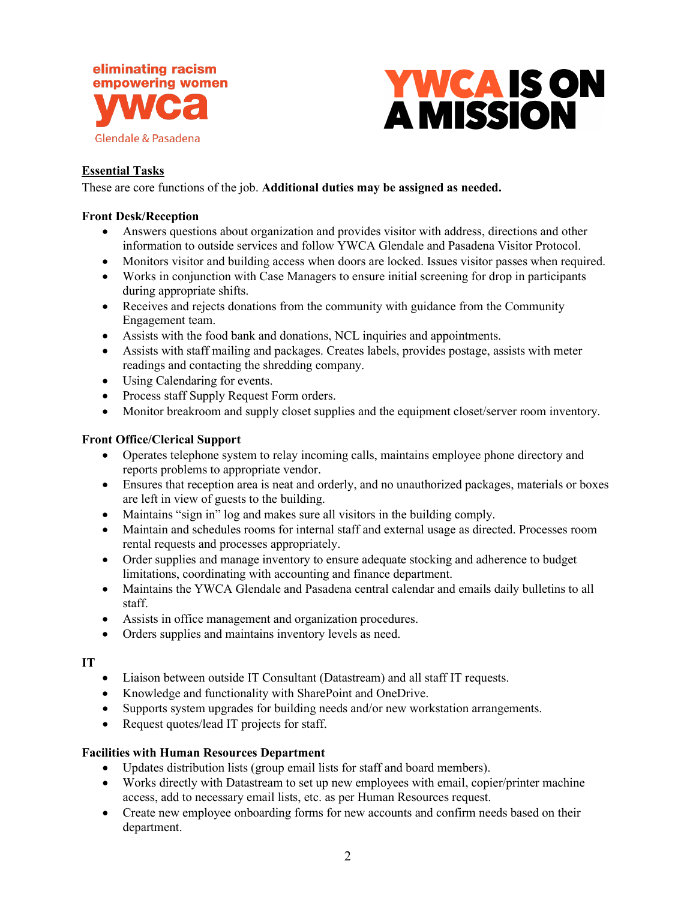



# **Essential Tasks**

These are core functions of the job. **Additional duties may be assigned as needed.**

### **Front Desk/Reception**

- Answers questions about organization and provides visitor with address, directions and other information to outside services and follow YWCA Glendale and Pasadena Visitor Protocol.
- Monitors visitor and building access when doors are locked. Issues visitor passes when required.
- Works in conjunction with Case Managers to ensure initial screening for drop in participants during appropriate shifts.
- Receives and rejects donations from the community with guidance from the Community Engagement team.
- Assists with the food bank and donations, NCL inquiries and appointments.
- Assists with staff mailing and packages. Creates labels, provides postage, assists with meter readings and contacting the shredding company.
- Using Calendaring for events.
- Process staff Supply Request Form orders.
- Monitor breakroom and supply closet supplies and the equipment closet/server room inventory.

### **Front Office/Clerical Support**

- Operates telephone system to relay incoming calls, maintains employee phone directory and reports problems to appropriate vendor.
- Ensures that reception area is neat and orderly, and no unauthorized packages, materials or boxes are left in view of guests to the building.
- Maintains "sign in" log and makes sure all visitors in the building comply.
- Maintain and schedules rooms for internal staff and external usage as directed. Processes room rental requests and processes appropriately.
- Order supplies and manage inventory to ensure adequate stocking and adherence to budget limitations, coordinating with accounting and finance department.
- Maintains the YWCA Glendale and Pasadena central calendar and emails daily bulletins to all staff.
- Assists in office management and organization procedures.
- Orders supplies and maintains inventory levels as need.

### **IT**

- Liaison between outside IT Consultant (Datastream) and all staff IT requests.
- Knowledge and functionality with SharePoint and OneDrive.
- Supports system upgrades for building needs and/or new workstation arrangements.
- Request quotes/lead IT projects for staff.

### **Facilities with Human Resources Department**

- Updates distribution lists (group email lists for staff and board members).
- Works directly with Datastream to set up new employees with email, copier/printer machine access, add to necessary email lists, etc. as per Human Resources request.
- Create new employee onboarding forms for new accounts and confirm needs based on their department.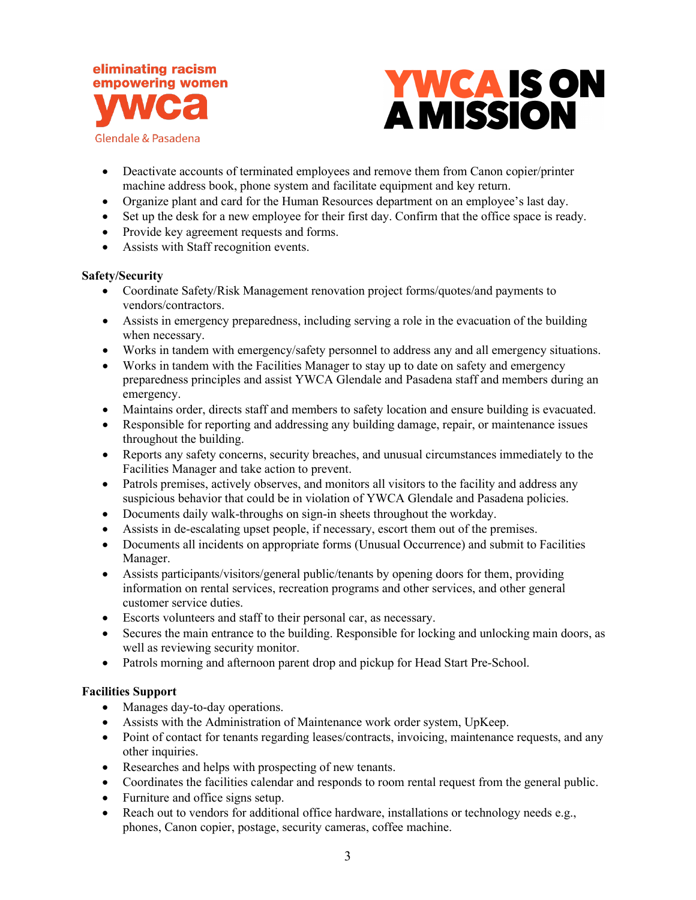



- Deactivate accounts of terminated employees and remove them from Canon copier/printer machine address book, phone system and facilitate equipment and key return.
- Organize plant and card for the Human Resources department on an employee's last day.
- Set up the desk for a new employee for their first day. Confirm that the office space is ready.
- Provide key agreement requests and forms.
- Assists with Staff recognition events.

# **Safety/Security**

- Coordinate Safety/Risk Management renovation project forms/quotes/and payments to vendors/contractors.
- Assists in emergency preparedness, including serving a role in the evacuation of the building when necessary.
- Works in tandem with emergency/safety personnel to address any and all emergency situations.
- Works in tandem with the Facilities Manager to stay up to date on safety and emergency preparedness principles and assist YWCA Glendale and Pasadena staff and members during an emergency.
- Maintains order, directs staff and members to safety location and ensure building is evacuated.
- Responsible for reporting and addressing any building damage, repair, or maintenance issues throughout the building.
- Reports any safety concerns, security breaches, and unusual circumstances immediately to the Facilities Manager and take action to prevent.
- Patrols premises, actively observes, and monitors all visitors to the facility and address any suspicious behavior that could be in violation of YWCA Glendale and Pasadena policies.
- Documents daily walk-throughs on sign-in sheets throughout the workday.
- Assists in de-escalating upset people, if necessary, escort them out of the premises.
- Documents all incidents on appropriate forms (Unusual Occurrence) and submit to Facilities Manager.
- Assists participants/visitors/general public/tenants by opening doors for them, providing information on rental services, recreation programs and other services, and other general customer service duties.
- Escorts volunteers and staff to their personal car, as necessary.
- Secures the main entrance to the building. Responsible for locking and unlocking main doors, as well as reviewing security monitor.
- Patrols morning and afternoon parent drop and pickup for Head Start Pre-School.

# **Facilities Support**

- Manages day-to-day operations.
- Assists with the Administration of Maintenance work order system, UpKeep.
- Point of contact for tenants regarding leases/contracts, invoicing, maintenance requests, and any other inquiries.
- Researches and helps with prospecting of new tenants.
- Coordinates the facilities calendar and responds to room rental request from the general public.
- Furniture and office signs setup.
- Reach out to vendors for additional office hardware, installations or technology needs e.g., phones, Canon copier, postage, security cameras, coffee machine.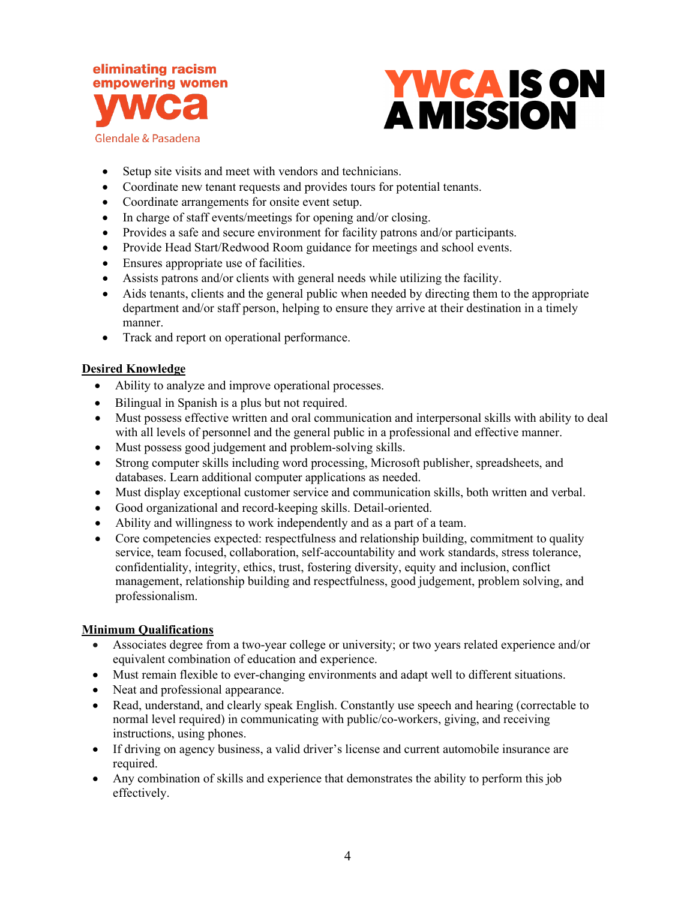



- Setup site visits and meet with vendors and technicians.
- Coordinate new tenant requests and provides tours for potential tenants.
- Coordinate arrangements for onsite event setup.
- In charge of staff events/meetings for opening and/or closing.
- Provides a safe and secure environment for facility patrons and/or participants.
- Provide Head Start/Redwood Room guidance for meetings and school events.
- Ensures appropriate use of facilities.
- Assists patrons and/or clients with general needs while utilizing the facility.
- Aids tenants, clients and the general public when needed by directing them to the appropriate department and/or staff person, helping to ensure they arrive at their destination in a timely manner.
- Track and report on operational performance.

### **Desired Knowledge**

- Ability to analyze and improve operational processes.
- Bilingual in Spanish is a plus but not required.
- Must possess effective written and oral communication and interpersonal skills with ability to deal with all levels of personnel and the general public in a professional and effective manner.
- Must possess good judgement and problem-solving skills.
- Strong computer skills including word processing, Microsoft publisher, spreadsheets, and databases. Learn additional computer applications as needed.
- Must display exceptional customer service and communication skills, both written and verbal.
- Good organizational and record-keeping skills. Detail-oriented.
- Ability and willingness to work independently and as a part of a team.
- Core competencies expected: respectfulness and relationship building, commitment to quality service, team focused, collaboration, self-accountability and work standards, stress tolerance, confidentiality, integrity, ethics, trust, fostering diversity, equity and inclusion, conflict management, relationship building and respectfulness, good judgement, problem solving, and professionalism.

### **Minimum Qualifications**

- Associates degree from a two-year college or university; or two years related experience and/or equivalent combination of education and experience.
- Must remain flexible to ever-changing environments and adapt well to different situations.
- Neat and professional appearance.
- Read, understand, and clearly speak English. Constantly use speech and hearing (correctable to normal level required) in communicating with public/co-workers, giving, and receiving instructions, using phones.
- If driving on agency business, a valid driver's license and current automobile insurance are required.
- Any combination of skills and experience that demonstrates the ability to perform this job effectively.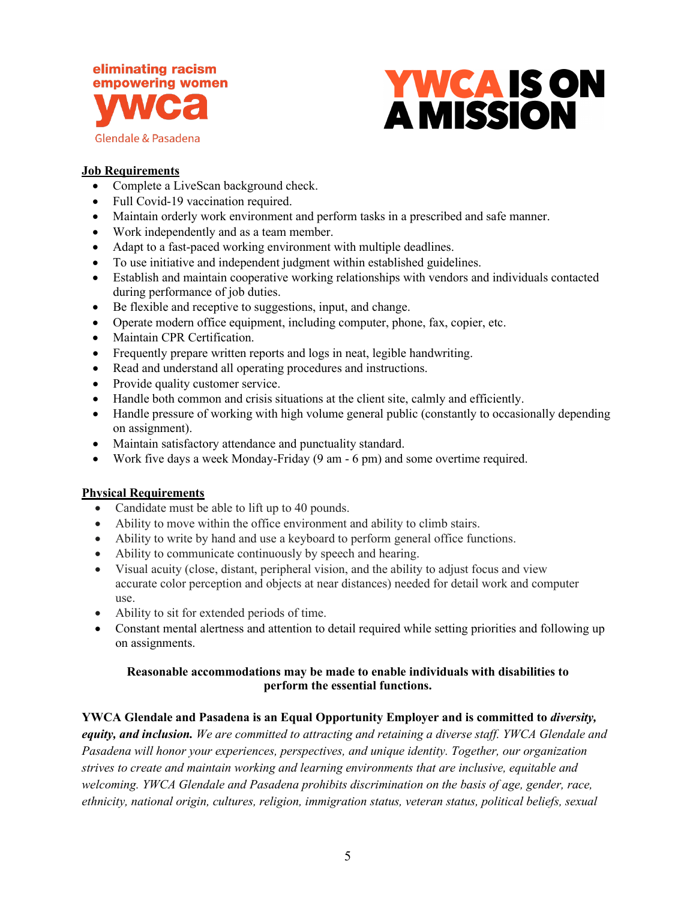



### **Job Requirements**

- Complete a LiveScan background check.
- Full Covid-19 vaccination required.
- Maintain orderly work environment and perform tasks in a prescribed and safe manner.
- Work independently and as a team member.
- Adapt to a fast-paced working environment with multiple deadlines.
- To use initiative and independent judgment within established guidelines.
- Establish and maintain cooperative working relationships with vendors and individuals contacted during performance of job duties.
- Be flexible and receptive to suggestions, input, and change.
- Operate modern office equipment, including computer, phone, fax, copier, etc.
- Maintain CPR Certification.
- Frequently prepare written reports and logs in neat, legible handwriting.
- Read and understand all operating procedures and instructions.
- Provide quality customer service.
- Handle both common and crisis situations at the client site, calmly and efficiently.
- Handle pressure of working with high volume general public (constantly to occasionally depending on assignment).
- Maintain satisfactory attendance and punctuality standard.
- Work five days a week Monday-Friday (9 am 6 pm) and some overtime required.

### **Physical Requirements**

- Candidate must be able to lift up to 40 pounds.
- Ability to move within the office environment and ability to climb stairs.
- Ability to write by hand and use a keyboard to perform general office functions.
- Ability to communicate continuously by speech and hearing.
- Visual acuity (close, distant, peripheral vision, and the ability to adjust focus and view accurate color perception and objects at near distances) needed for detail work and computer use.
- Ability to sit for extended periods of time.
- Constant mental alertness and attention to detail required while setting priorities and following up on assignments.

# **Reasonable accommodations may be made to enable individuals with disabilities to perform the essential functions.**

# **YWCA Glendale and Pasadena is an Equal Opportunity Employer and is committed to** *diversity,*

*equity, and inclusion. We are committed to attracting and retaining a diverse staff. YWCA Glendale and Pasadena will honor your experiences, perspectives, and unique identity. Together, our organization strives to create and maintain working and learning environments that are inclusive, equitable and welcoming. YWCA Glendale and Pasadena prohibits discrimination on the basis of age, gender, race, ethnicity, national origin, cultures, religion, immigration status, veteran status, political beliefs, sexual*